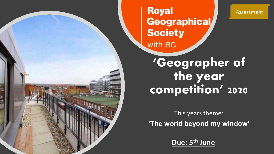

## **Royal** Geographical/ **Society** with IBG

#### Assessment

**'Geographer of the year competition' 2020**

This years theme: **'The world beyond my window'**

**Due: 5th June**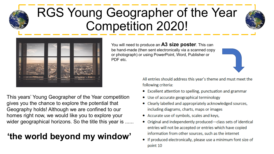# RGS Young Geographer of the Year Competition 2020!





This years' Young Geographer of the Year competition gives you the chance to explore the potential that Geography holds! Although we are confined to our homes right now, we would like you to explore your wider geographical horizons. So the title this year is ......

### **'the world beyond my window'**

You will need to produce an **A3 size poster**. This can be hand-made (then sent electronically via a scanned copy or photograph) or using PowerPoint, Word, Publisher or PDF etc.



All entries should address this year's theme and must meet the following criteria:

- Excellent attention to spelling, punctuation and grammar
- Use of accurate geographical terminology
- Clearly labelled and appropriately acknowledged sources, including diagrams, charts, maps or images
- Accurate use of symbols, scales and keys,
- Original and independently produced—class sets of identical entries will not be accepted or entries which have copied information from other sources, such as the internet
- If produced electronically, please use a minimum font size of point 10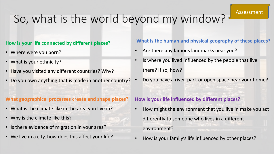# So, what is the world beyond my window?

#### **How is your life connected by different places?**

- Where were you born?
- What is your ethnicity?
- Have you visited any different countries? Why?
- Do you own anything that is made in another country?

#### **What geographical processes create and shape places?**

- What is the climate like in the area you live in?
- Why is the climate like this?
- Is there evidence of migration in your area?
- We live in a city, how does this affect your life?

### **What is the human and physical geography of these places?**

- Are there any famous landmarks near you?
- Is where you lived influenced by the people that live there? If so, how?
	- Do you have a river, park or open space near your home?

#### **How is your life influenced by different places?**

- How might the environment that you live in make you act differently to someone who lives in a different environment?
	- How is your family's life influenced by other places?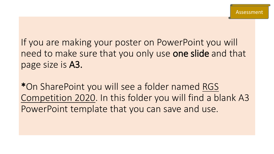If you are making your poster on PowerPoint you will need to make sure that you only use one slide and that page size is A3.

\*On SharePoint you will see a folder named RGS Competition 2020. In this folder you will find a blank A3 PowerPoint template that you can save and use.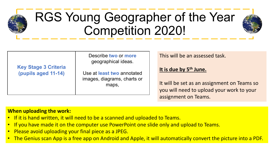# RGS Young Geographer of the Year Competition 2020!



This will be an assessed task.

**It is due by 5th June.** 

It will be set as an assignment on Teams so you will need to upload your work to your assignment on Teams.

#### **When uploading the work:**

- If it is hand written, it will need to be a scanned and uploaded to Teams.
- If you have made it on the computer use PowerPoint one slide only and upload to Teams.
- Please avoid uploading your final piece as a JPEG.
- The Genius scan App is a free app on Android and Apple, it will automatically convert the picture into a PDF.